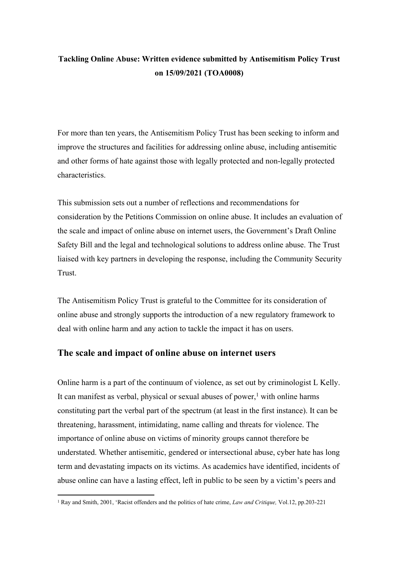# **Tackling Online Abuse: Written evidence submitted by Antisemitism Policy Trust on 15/09/2021 (TOA0008)**

For more than ten years, the Antisemitism Policy Trust has been seeking to inform and improve the structures and facilities for addressing online abuse, including antisemitic and other forms of hate against those with legally protected and non-legally protected characteristics.

This submission sets out a number of reflections and recommendations for consideration by the Petitions Commission on online abuse. It includes an evaluation of the scale and impact of online abuse on internet users, the Government's Draft Online Safety Bill and the legal and technological solutions to address online abuse. The Trust liaised with key partners in developing the response, including the Community Security Trust.

The Antisemitism Policy Trust is grateful to the Committee for its consideration of online abuse and strongly supports the introduction of a new regulatory framework to deal with online harm and any action to tackle the impact it has on users.

# **The scale and impact of online abuse on internet users**

Online harm is a part of the continuum of violence, as set out by criminologist L Kelly. It can manifest as verbal, physical or sexual abuses of power, $<sup>1</sup>$  with online harms</sup> constituting part the verbal part of the spectrum (at least in the first instance). It can be threatening, harassment, intimidating, name calling and threats for violence. The importance of online abuse on victims of minority groups cannot therefore be understated. Whether antisemitic, gendered or intersectional abuse, cyber hate has long term and devastating impacts on its victims. As academics have identified, incidents of abuse online can have a lasting effect, left in public to be seen by a victim's peers and

<sup>1</sup> Ray and Smith, 2001, 'Racist offenders and the politics of hate crime, *Law and Critique,* Vol.12, pp.203-221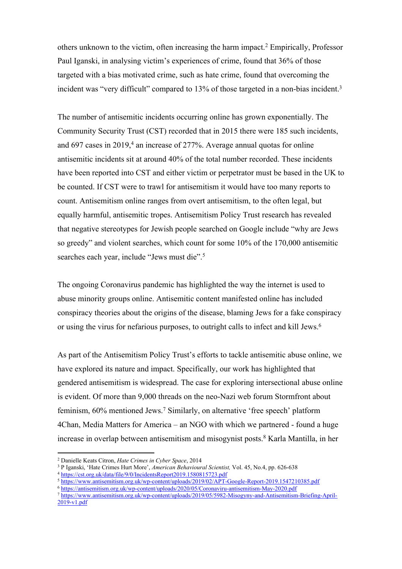others unknown to the victim, often increasing the harm impact.<sup>2</sup> Empirically, Professor Paul Iganski, in analysing victim's experiences of crime, found that 36% of those targeted with a bias motivated crime, such as hate crime, found that overcoming the incident was "very difficult" compared to 13% of those targeted in a non-bias incident.<sup>3</sup>

The number of antisemitic incidents occurring online has grown exponentially. The Community Security Trust (CST) recorded that in 2015 there were 185 such incidents, and 697 cases in 2019,<sup>4</sup> an increase of 277%. Average annual quotas for online antisemitic incidents sit at around 40% of the total number recorded. These incidents have been reported into CST and either victim or perpetrator must be based in the UK to be counted. If CST were to trawl for antisemitism it would have too many reports to count. Antisemitism online ranges from overt antisemitism, to the often legal, but equally harmful, antisemitic tropes. Antisemitism Policy Trust research has revealed that negative stereotypes for Jewish people searched on Google include "why are Jews so greedy" and violent searches, which count for some 10% of the 170,000 antisemitic searches each year, include "Jews must die".<sup>5</sup>

The ongoing Coronavirus pandemic has highlighted the way the internet is used to abuse minority groups online. Antisemitic content manifested online has included conspiracy theories about the origins of the disease, blaming Jews for a fake conspiracy or using the virus for nefarious purposes, to outright calls to infect and kill Jews.<sup>6</sup>

As part of the Antisemitism Policy Trust's efforts to tackle antisemitic abuse online, we have explored its nature and impact. Specifically, our work has highlighted that gendered antisemitism is widespread. The case for exploring intersectional abuse online is evident. Of more than 9,000 threads on the neo-Nazi web forum Stormfront about feminism, 60% mentioned Jews.<sup>7</sup> Similarly, on alternative 'free speech' platform 4Chan, Media Matters for America – an NGO with which we partnered - found a huge increase in overlap between antisemitism and misogynist posts.<sup>8</sup> Karla Mantilla, in her

<sup>2</sup> Danielle Keats Citron, *Hate Crimes in Cyber Space*, 2014

<sup>3</sup> P Iganski, 'Hate Crimes Hurt More', *American Behavioural Scientist,* Vol. 45, No.4, pp. 626-638

<sup>4</sup> [https://cst.org.uk/data/file/9/0/IncidentsReport2019.1580815723.pdf](about:blank)

<sup>5</sup> [https://www.antisemitism.org.uk/wp-content/uploads/2019/02/APT-Google-Report-2019.1547210385.pdf](about:blank)

<sup>6</sup> <https://antisemitism.org.uk/wp-content/uploads/2020/05/Coronaviru-antisemitism-May-2020.pdf>

<sup>7</sup> [https://www.antisemitism.org.uk/wp-content/uploads/2019/05/5982-Misogyny-and-Antisemitism-Briefing-April-](about:blank)[2019-v1.pdf](about:blank)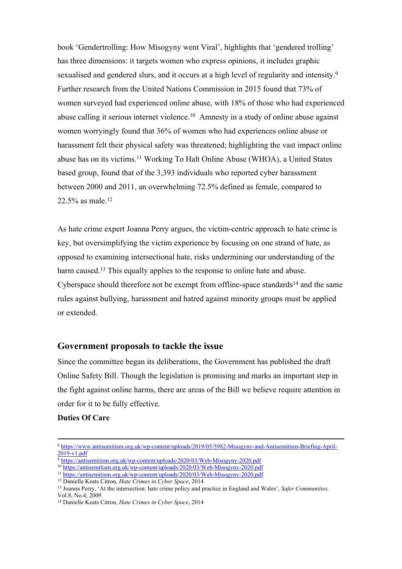book 'Gendertrolling: How Misogyny went Viral', highlights that 'gendered trolling' has three dimensions: it targets women who express opinions, it includes graphic sexualised and gendered slurs, and it occurs at a high level of regularity and intensity.<sup>9</sup> Further research from the United Nations Commission in 2015 found that 73% of women surveyed had experienced online abuse, with 18% of those who had experienced abuse calling it serious internet violence.<sup>10</sup> Amnesty in a study of online abuse against women worryingly found that 36% of women who had experiences online abuse or harassment felt their physical safety was threatened; highlighting the vast impact online abuse has on its victims.<sup>11</sup> Working To Halt Online Abuse (WHOA), a United States based group, found that of the 3,393 individuals who reported cyber harassment between 2000 and 2011, an overwhelming 72.5% defined as female, compared to 22.5% as male.<sup>12</sup>

As hate crime expert Joanna Perry argues, the victim-centric approach to hate crime is key, but oversimplifying the victim experience by focusing on one strand of hate, as opposed to examining intersectional hate, risks undermining our understanding of the harm caused.<sup>13</sup> This equally applies to the response to online hate and abuse. Cyberspace should therefore not be exempt from offline-space standards<sup>14</sup> and the same rules against bullying, harassment and hatred against minority groups must be applied or extended.

## **Government proposals to tackle the issue**

Since the committee began its deliberations, the Government has published the draft Online Safety Bill. Though the legislation is promising and marks an important step in the fight against online harms, there are areas of the Bill we believe require attention in order for it to be fully effective.

## **Duties Of Care**

<sup>9</sup> <https://antisemitism.org.uk/wp-content/uploads/2020/03/Web-Misogyny-2020.pdf>

<sup>12</sup> Danielle Keats Citron, *Hate Crimes in Cyber Space*, 2014

<sup>8</sup> [https://www.antisemitism.org.uk/wp-content/uploads/2019/05/5982-Misogyny-and-Antisemitism-Briefing-April-](about:blank)[2019-v1.pdf](about:blank)

<sup>10</sup> <https://antisemitism.org.uk/wp-content/uploads/2020/03/Web-Misogyny-2020.pdf>

<sup>11</sup> <https://antisemitism.org.uk/wp-content/uploads/2020/03/Web-Misogyny-2020.pdf>

<sup>13</sup> Joanna Perry, 'At the intersection: hate crime policy and practice in England and Wales', *Safer Communities,* Vol.8, No.4, 2009

<sup>14</sup> Danielle Keats Citron, *Hate Crimes in Cyber Space*, 2014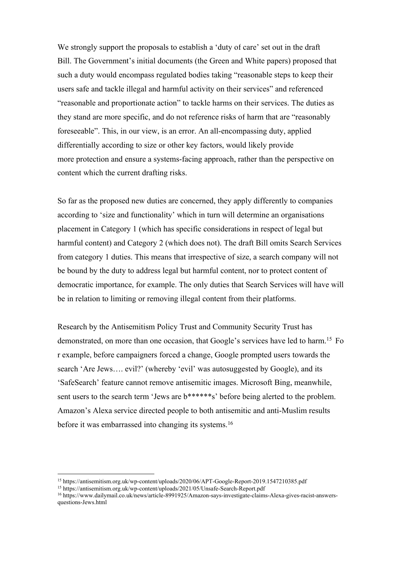We strongly support the proposals to establish a 'duty of care' set out in the draft Bill. The Government's initial documents (the Green and White papers) proposed that such a duty would encompass regulated bodies taking "reasonable steps to keep their users safe and tackle illegal and harmful activity on their services" and referenced "reasonable and proportionate action" to tackle harms on their services. The duties as they stand are more specific, and do not reference risks of harm that are "reasonably foreseeable". This, in our view, is an error. An all-encompassing duty, applied differentially according to size or other key factors, would likely provide more protection and ensure a systems-facing approach, rather than the perspective on content which the current drafting risks.

So far as the proposed new duties are concerned, they apply differently to companies according to 'size and functionality' which in turn will determine an organisations placement in Category 1 (which has specific considerations in respect of legal but harmful content) and Category 2 (which does not). The draft Bill omits Search Services from category 1 duties. This means that irrespective of size, a search company will not be bound by the duty to address legal but harmful content, nor to protect content of democratic importance, for example. The only duties that Search Services will have will be in relation to limiting or removing illegal content from their platforms.

Research by the Antisemitism Policy Trust and Community Security Trust has demonstrated, on more than one occasion, that Google's services have led to harm.<sup>15</sup> Fo r example, before campaigners forced a change, Google prompted users towards the search 'Are Jews…. evil?' (whereby 'evil' was autosuggested by Google), and its 'SafeSearch' feature cannot remove antisemitic images. Microsoft Bing, meanwhile, sent users to the search term 'Jews are  $b*****s$ ' before being alerted to the problem. Amazon's Alexa service directed people to both antisemitic and anti-Muslim results before it was embarrassed into changing its systems.<sup>16</sup>

<sup>15</sup> https://antisemitism.org.uk/wp-content/uploads/2020/06/APT-Google-Report-2019.1547210385.pdf

<sup>15</sup> https://antisemitism.org.uk/wp-content/uploads/2021/05/Unsafe-Search-Report.pdf

<sup>16</sup> https://www.dailymail.co.uk/news/article-8991925/Amazon-says-investigate-claims-Alexa-gives-racist-answersquestions-Jews.html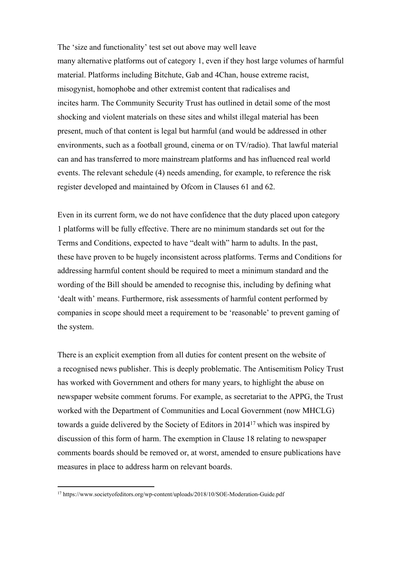The 'size and functionality' test set out above may well leave many alternative platforms out of category 1, even if they host large volumes of harmful material. Platforms including Bitchute, Gab and 4Chan, house extreme racist, misogynist, homophobe and other extremist content that radicalises and incites harm. The Community Security Trust has outlined in detail some of the most shocking and violent materials on these sites and whilst illegal material has been present, much of that content is legal but harmful (and would be addressed in other environments, such as a football ground, cinema or on TV/radio). That lawful material can and has transferred to more mainstream platforms and has influenced real world events. The relevant schedule (4) needs amending, for example, to reference the risk register developed and maintained by Ofcom in Clauses 61 and 62.

Even in its current form, we do not have confidence that the duty placed upon category 1 platforms will be fully effective. There are no minimum standards set out for the Terms and Conditions, expected to have "dealt with" harm to adults. In the past, these have proven to be hugely inconsistent across platforms. Terms and Conditions for addressing harmful content should be required to meet a minimum standard and the wording of the Bill should be amended to recognise this, including by defining what 'dealt with' means. Furthermore, risk assessments of harmful content performed by companies in scope should meet a requirement to be 'reasonable' to prevent gaming of the system.

There is an explicit exemption from all duties for content present on the website of a recognised news publisher. This is deeply problematic. The Antisemitism Policy Trust has worked with Government and others for many years, to highlight the abuse on newspaper website comment forums. For example, as secretariat to the APPG, the Trust worked with the Department of Communities and Local Government (now MHCLG) towards a guide delivered by the Society of Editors in 2014<sup>17</sup> which was inspired by discussion of this form of harm. The exemption in Clause 18 relating to newspaper comments boards should be removed or, at worst, amended to ensure publications have measures in place to address harm on relevant boards.

<sup>&</sup>lt;sup>17</sup> https://www.societyofeditors.org/wp-content/uploads/2018/10/SOE-Moderation-Guide.pdf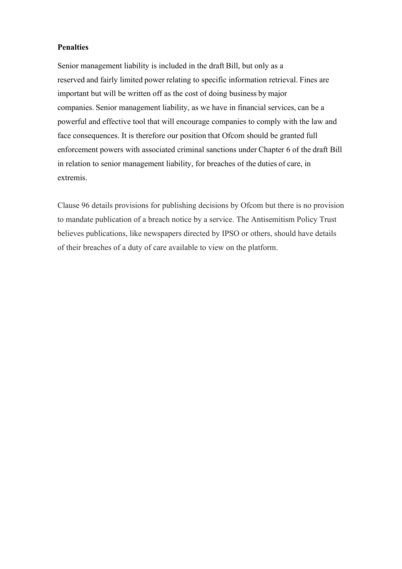#### **Penalties**

Senior management liability is included in the draft Bill, but only as a reserved and fairly limited power relating to specific information retrieval. Fines are important but will be written off as the cost of doing business by major companies. Senior management liability, as we have in financial services, can be a powerful and effective tool that will encourage companies to comply with the law and face consequences. It is therefore our position that Ofcom should be granted full enforcement powers with associated criminal sanctions under Chapter 6 of the draft Bill in relation to senior management liability, for breaches of the duties of care, in extremis.

Clause 96 details provisions for publishing decisions by Ofcom but there is no provision to mandate publication of a breach notice by a service. The Antisemitism Policy Trust believes publications, like newspapers directed by IPSO or others, should have details of their breaches of a duty of care available to view on the platform.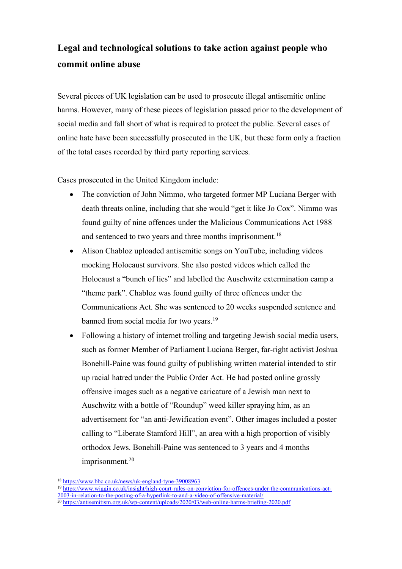# **Legal and technological solutions to take action against people who commit online abuse**

Several pieces of UK legislation can be used to prosecute illegal antisemitic online harms. However, many of these pieces of legislation passed prior to the development of social media and fall short of what is required to protect the public. Several cases of online hate have been successfully prosecuted in the UK, but these form only a fraction of the total cases recorded by third party reporting services.

Cases prosecuted in the United Kingdom include:

- The conviction of John Nimmo, who targeted former MP Luciana Berger with death threats online, including that she would "get it like Jo Cox". Nimmo was found guilty of nine offences under the Malicious Communications Act 1988 and sentenced to two years and three months imprisonment.<sup>18</sup>
- Alison Chabloz uploaded antisemitic songs on YouTube, including videos mocking Holocaust survivors. She also posted videos which called the Holocaust a "bunch of lies" and labelled the Auschwitz extermination camp a "theme park". Chabloz was found guilty of three offences under the Communications Act. She was sentenced to 20 weeks suspended sentence and banned from social media for two years.<sup>19</sup>
- Following a history of internet trolling and targeting Jewish social media users, such as former Member of Parliament Luciana Berger, far-right activist Joshua Bonehill-Paine was found guilty of publishing written material intended to stir up racial hatred under the Public Order Act. He had posted online grossly offensive images such as a negative caricature of a Jewish man next to Auschwitz with a bottle of "Roundup" weed killer spraying him, as an advertisement for "an anti-Jewification event". Other images included a poster calling to "Liberate Stamford Hill", an area with a high proportion of visibly orthodox Jews. Bonehill-Paine was sentenced to 3 years and 4 months imprisonment.<sup>20</sup>

- <sup>19</sup> [https://www.wiggin.co.uk/insight/high-court-rules-on-conviction-for-offences-under-the-communications-act-](https://www.wiggin.co.uk/insight/high-court-rules-on-conviction-for-offences-under-the-communications-act-2003-in-relation-to-the-posting-of-a-hyperlink-to-and-a-video-of-offensive-material/)
- [2003-in-relation-to-the-posting-of-a-hyperlink-to-and-a-video-of-offensive-material/](https://www.wiggin.co.uk/insight/high-court-rules-on-conviction-for-offences-under-the-communications-act-2003-in-relation-to-the-posting-of-a-hyperlink-to-and-a-video-of-offensive-material/) <sup>20</sup> <https://antisemitism.org.uk/wp-content/uploads/2020/03/web-online-harms-briefing-2020.pdf>

<sup>18</sup> [https://www.bbc.co.uk/news/uk-england-tyne-39008963](about:blank)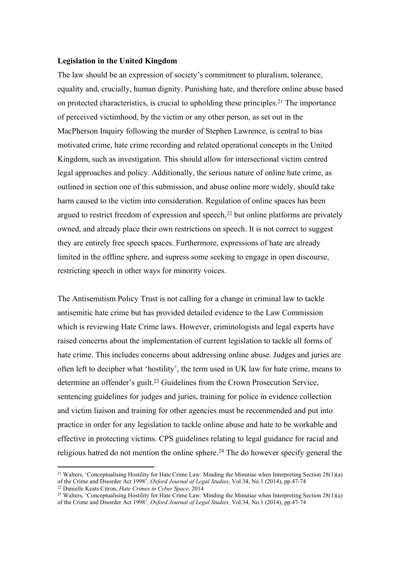#### **Legislation in the United Kingdom**

The law should be an expression of society's commitment to pluralism, tolerance, equality and, crucially, human dignity. Punishing hate, and therefore online abuse based on protected characteristics, is crucial to upholding these principles.<sup>21</sup> The importance of perceived victimhood, by the victim or any other person, as set out in the MacPherson Inquiry following the murder of Stephen Lawrence, is central to bias motivated crime, hate crime recording and related operational concepts in the United Kingdom, such as investigation. This should allow for intersectional victim centred legal approaches and policy. Additionally, the serious nature of online hate crime, as outlined in section one of this submission, and abuse online more widely, should take harm caused to the victim into consideration. Regulation of online spaces has been argued to restrict freedom of expression and speech, $^{22}$  but online platforms are privately owned, and already place their own restrictions on speech. It is not correct to suggest they are entirely free speech spaces. Furthermore, expressions of hate are already limited in the offline sphere, and supress some seeking to engage in open discourse, restricting speech in other ways for minority voices.

The Antisemitism Policy Trust is not calling for a change in criminal law to tackle antisemitic hate crime but has provided detailed evidence to the Law Commission which is reviewing Hate Crime laws. However, criminologists and legal experts have raised concerns about the implementation of current legislation to tackle all forms of hate crime. This includes concerns about addressing online abuse. Judges and juries are often left to decipher what 'hostility', the term used in UK law for hate crime, means to determine an offender's guilt.<sup>23</sup> Guidelines from the Crown Prosecution Service, sentencing guidelines for judges and juries, training for police in evidence collection and victim liaison and training for other agencies must be recommended and put into practice in order for any legislation to tackle online abuse and hate to be workable and effective in protecting victims. CPS guidelines relating to legal guidance for racial and religious hatred do not mention the online sphere.<sup>24</sup> The do however specify general the

<sup>&</sup>lt;sup>21</sup> Walters, 'Conceptualising Hostility for Hate Crime Law: Minding the Minutiae when Interpreting Section 28(1)(a) of the Crime and Disorder Act 1998'*, Oxford Journal of Legal Studies,* Vol.34, No.1 (2014), pp.47-74

<sup>22</sup> Danielle Keats Citron, *Hate Crimes in Cyber Space*, 2014

<sup>&</sup>lt;sup>23</sup> Walters, 'Conceptualising Hostility for Hate Crime Law: Minding the Minutiae when Interpreting Section  $28(1)(a)$ of the Crime and Disorder Act 1998'*, Oxford Journal of Legal Studies,* Vol.34, No.1 (2014), pp.47-74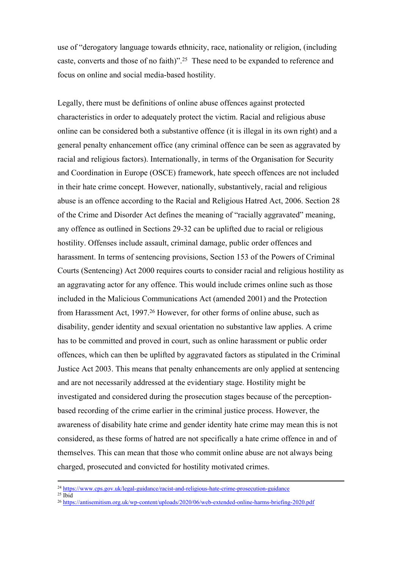use of "derogatory language towards ethnicity, race, nationality or religion, (including caste, converts and those of no faith)".<sup>25</sup> These need to be expanded to reference and focus on online and social media-based hostility.

Legally, there must be definitions of online abuse offences against protected characteristics in order to adequately protect the victim. Racial and religious abuse online can be considered both a substantive offence (it is illegal in its own right) and a general penalty enhancement office (any criminal offence can be seen as aggravated by racial and religious factors). Internationally, in terms of the Organisation for Security and Coordination in Europe (OSCE) framework, hate speech offences are not included in their hate crime concept. However, nationally, substantively, racial and religious abuse is an offence according to the Racial and Religious Hatred Act, 2006. Section 28 of the Crime and Disorder Act defines the meaning of "racially aggravated" meaning, any offence as outlined in Sections 29-32 can be uplifted due to racial or religious hostility. Offenses include assault, criminal damage, public order offences and harassment. In terms of sentencing provisions, Section 153 of the Powers of Criminal Courts (Sentencing) Act 2000 requires courts to consider racial and religious hostility as an aggravating actor for any offence. This would include crimes online such as those included in the Malicious Communications Act (amended 2001) and the Protection from Harassment Act, 1997.<sup>26</sup> However, for other forms of online abuse, such as disability, gender identity and sexual orientation no substantive law applies. A crime has to be committed and proved in court, such as online harassment or public order offences, which can then be uplifted by aggravated factors as stipulated in the Criminal Justice Act 2003. This means that penalty enhancements are only applied at sentencing and are not necessarily addressed at the evidentiary stage. Hostility might be investigated and considered during the prosecution stages because of the perceptionbased recording of the crime earlier in the criminal justice process. However, the awareness of disability hate crime and gender identity hate crime may mean this is not considered, as these forms of hatred are not specifically a hate crime offence in and of themselves. This can mean that those who commit online abuse are not always being charged, prosecuted and convicted for hostility motivated crimes.

<sup>24</sup> <https://www.cps.gov.uk/legal-guidance/racist-and-religious-hate-crime-prosecution-guidance>

 $25$  Ibid

<sup>26</sup> <https://antisemitism.org.uk/wp-content/uploads/2020/06/web-extended-online-harms-briefing-2020.pdf>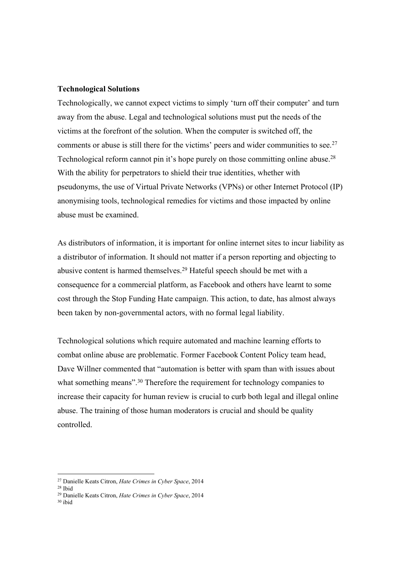#### **Technological Solutions**

Technologically, we cannot expect victims to simply 'turn off their computer' and turn away from the abuse. Legal and technological solutions must put the needs of the victims at the forefront of the solution. When the computer is switched off, the comments or abuse is still there for the victims' peers and wider communities to see.<sup>27</sup> Technological reform cannot pin it's hope purely on those committing online abuse.<sup>28</sup> With the ability for perpetrators to shield their true identities, whether with pseudonyms, the use of Virtual Private Networks (VPNs) or other Internet Protocol (IP) anonymising tools, technological remedies for victims and those impacted by online abuse must be examined.

As distributors of information, it is important for online internet sites to incur liability as a distributor of information. It should not matter if a person reporting and objecting to abusive content is harmed themselves.<sup>29</sup> Hateful speech should be met with a consequence for a commercial platform, as Facebook and others have learnt to some cost through the Stop Funding Hate campaign. This action, to date, has almost always been taken by non-governmental actors, with no formal legal liability.

Technological solutions which require automated and machine learning efforts to combat online abuse are problematic. Former Facebook Content Policy team head, Dave Willner commented that "automation is better with spam than with issues about what something means".<sup>30</sup> Therefore the requirement for technology companies to increase their capacity for human review is crucial to curb both legal and illegal online abuse. The training of those human moderators is crucial and should be quality controlled.

<sup>30</sup> ibid

<sup>27</sup> Danielle Keats Citron, *Hate Crimes in Cyber Space*, 2014

<sup>28</sup> Ibid

<sup>29</sup> Danielle Keats Citron, *Hate Crimes in Cyber Space*, 2014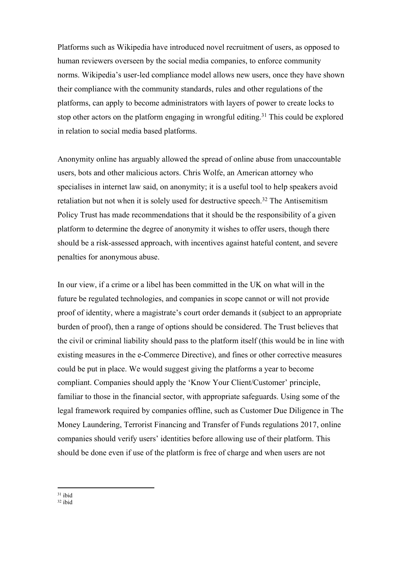Platforms such as Wikipedia have introduced novel recruitment of users, as opposed to human reviewers overseen by the social media companies, to enforce community norms. Wikipedia's user-led compliance model allows new users, once they have shown their compliance with the community standards, rules and other regulations of the platforms, can apply to become administrators with layers of power to create locks to stop other actors on the platform engaging in wrongful editing.<sup>31</sup> This could be explored in relation to social media based platforms.

Anonymity online has arguably allowed the spread of online abuse from unaccountable users, bots and other malicious actors. Chris Wolfe, an American attorney who specialises in internet law said, on anonymity; it is a useful tool to help speakers avoid retaliation but not when it is solely used for destructive speech.<sup>32</sup> The Antisemitism Policy Trust has made recommendations that it should be the responsibility of a given platform to determine the degree of anonymity it wishes to offer users, though there should be a risk-assessed approach, with incentives against hateful content, and severe penalties for anonymous abuse.

In our view, if a crime or a libel has been committed in the UK on what will in the future be regulated technologies, and companies in scope cannot or will not provide proof of identity, where a magistrate's court order demands it (subject to an appropriate burden of proof), then a range of options should be considered. The Trust believes that the civil or criminal liability should pass to the platform itself (this would be in line with existing measures in the e-Commerce Directive), and fines or other corrective measures could be put in place. We would suggest giving the platforms a year to become compliant. Companies should apply the 'Know Your Client/Customer' principle, familiar to those in the financial sector, with appropriate safeguards. Using some of the legal framework required by companies offline, such as Customer Due Diligence in The Money Laundering, Terrorist Financing and Transfer of Funds regulations 2017, online companies should verify users' identities before allowing use of their platform. This should be done even if use of the platform is free of charge and when users are not

 $31$  ibid

 $32$  ibid